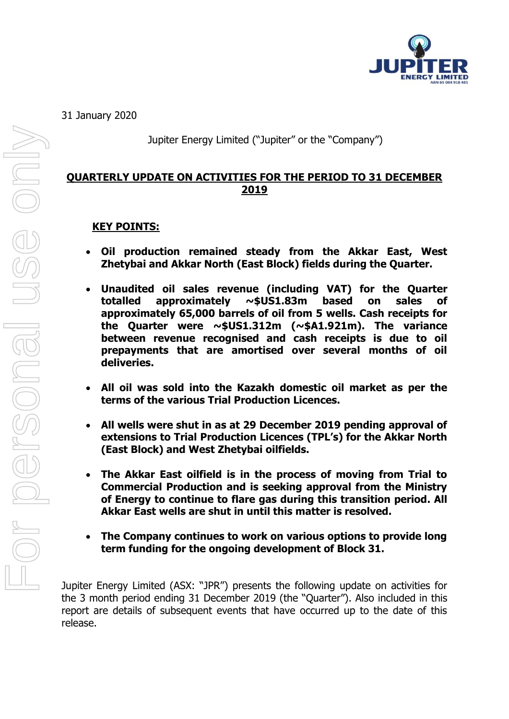

31 January 2020

Jupiter Energy Limited ("Jupiter" or the "Company")

## **QUARTERLY UPDATE ON ACTIVITIES FOR THE PERIOD TO 31 DECEMBER 2019**

### **KEY POINTS:**

- **Oil production remained steady from the Akkar East, West Zhetybai and Akkar North (East Block) fields during the Quarter.**
- **Unaudited oil sales revenue (including VAT) for the Quarter totalled approximately ~\$US1.83m based on sales of approximately 65,000 barrels of oil from 5 wells. Cash receipts for the Quarter were ~\$US1.312m (~\$A1.921m). The variance between revenue recognised and cash receipts is due to oil prepayments that are amortised over several months of oil deliveries.**
- **All oil was sold into the Kazakh domestic oil market as per the terms of the various Trial Production Licences.**
- **All wells were shut in as at 29 December 2019 pending approval of extensions to Trial Production Licences (TPL's) for the Akkar North (East Block) and West Zhetybai oilfields.**
- **The Akkar East oilfield is in the process of moving from Trial to Commercial Production and is seeking approval from the Ministry of Energy to continue to flare gas during this transition period. All Akkar East wells are shut in until this matter is resolved.**
- **The Company continues to work on various options to provide long term funding for the ongoing development of Block 31.**

Jupiter Energy Limited (ASX: "JPR") presents the following update on activities for the 3 month period ending 31 December 2019 (the "Quarter"). Also included in this report are details of subsequent events that have occurred up to the date of this release.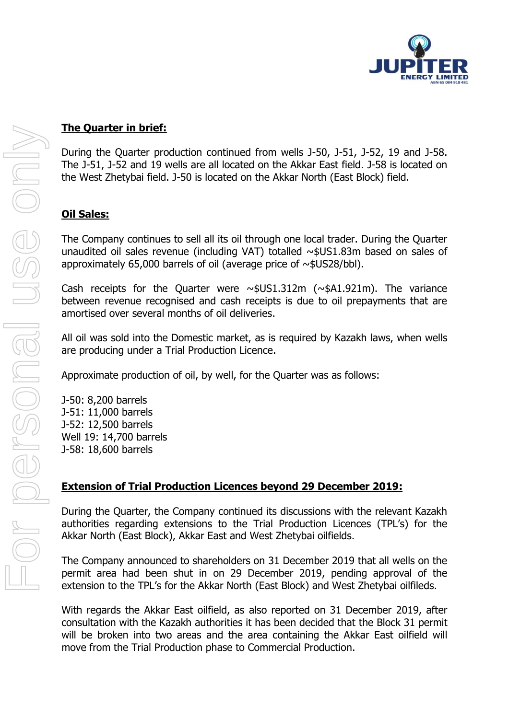

During the Quarter production continued from wells J-50, J-51, J-52, 19 and J-58. The J-51, J-52 and 19 wells are all located on the Akkar East field. J-58 is located on the West Zhetybai field. J-50 is located on the Akkar North (East Block) field.

## **Oil Sales:**

The Company continues to sell all its oil through one local trader. During the Quarter unaudited oil sales revenue (including VAT) totalled  $\sim$ \$US1.83m based on sales of approximately 65,000 barrels of oil (average price of  $\sim$ \$US28/bbl).

Cash receipts for the Quarter were  $\sim$ \$US1.312m ( $\sim$ \$A1.921m). The variance between revenue recognised and cash receipts is due to oil prepayments that are amortised over several months of oil deliveries.

All oil was sold into the Domestic market, as is required by Kazakh laws, when wells are producing under a Trial Production Licence.

Approximate production of oil, by well, for the Quarter was as follows:

J-50: 8,200 barrels J-51: 11,000 barrels J-52: 12,500 barrels Well 19: 14,700 barrels J-58: 18,600 barrels

# **Extension of Trial Production Licences beyond 29 December 2019:**

During the Quarter, the Company continued its discussions with the relevant Kazakh authorities regarding extensions to the Trial Production Licences (TPL's) for the Akkar North (East Block), Akkar East and West Zhetybai oilfields.

The Company announced to shareholders on 31 December 2019 that all wells on the permit area had been shut in on 29 December 2019, pending approval of the extension to the TPL's for the Akkar North (East Block) and West Zhetybai oilfileds.

With regards the Akkar East oilfield, as also reported on 31 December 2019, after consultation with the Kazakh authorities it has been decided that the Block 31 permit will be broken into two areas and the area containing the Akkar East oilfield will move from the Trial Production phase to Commercial Production.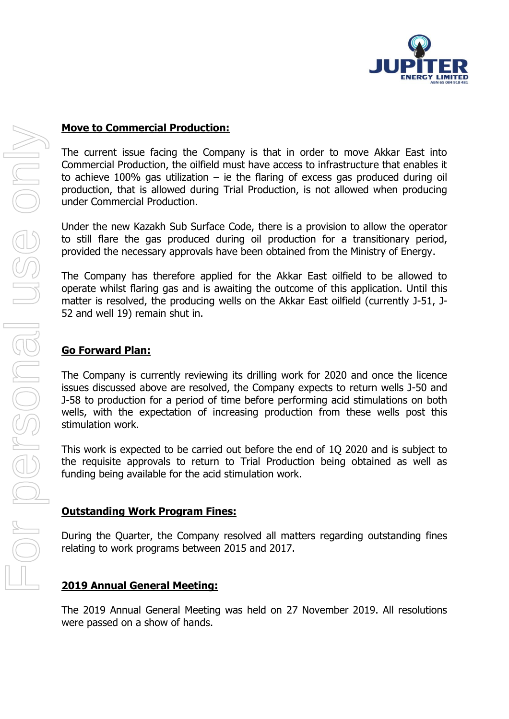

#### **Move to Commercial Production:**

The current issue facing the Company is that in order to move Akkar East into Commercial Production, the oilfield must have access to infrastructure that enables it to achieve 100% gas utilization – ie the flaring of excess gas produced during oil production, that is allowed during Trial Production, is not allowed when producing under Commercial Production.

Under the new Kazakh Sub Surface Code, there is a provision to allow the operator to still flare the gas produced during oil production for a transitionary period, provided the necessary approvals have been obtained from the Ministry of Energy.

The Company has therefore applied for the Akkar East oilfield to be allowed to operate whilst flaring gas and is awaiting the outcome of this application. Until this matter is resolved, the producing wells on the Akkar East oilfield (currently J-51, J-52 and well 19) remain shut in.

#### **Go Forward Plan:**

The Company is currently reviewing its drilling work for 2020 and once the licence issues discussed above are resolved, the Company expects to return wells J-50 and J-58 to production for a period of time before performing acid stimulations on both wells, with the expectation of increasing production from these wells post this stimulation work.

This work is expected to be carried out before the end of 1Q 2020 and is subject to the requisite approvals to return to Trial Production being obtained as well as funding being available for the acid stimulation work.

#### **Outstanding Work Program Fines:**

During the Quarter, the Company resolved all matters regarding outstanding fines relating to work programs between 2015 and 2017.

### **2019 Annual General Meeting:**

The 2019 Annual General Meeting was held on 27 November 2019. All resolutions were passed on a show of hands.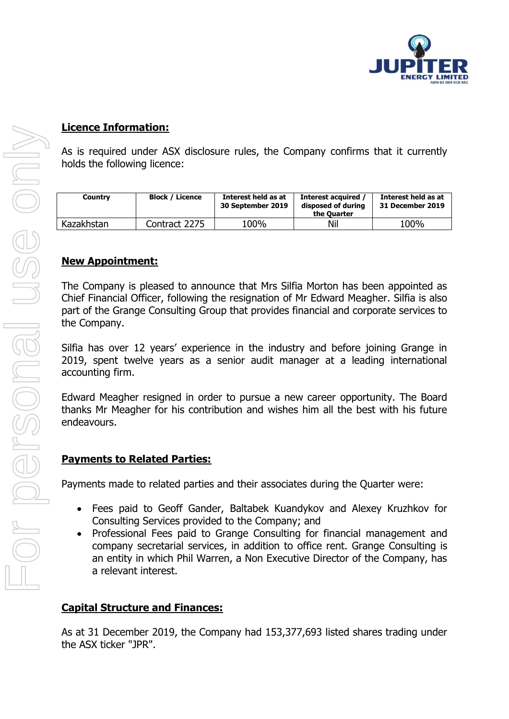

#### **Licence Information:**

As is required under ASX disclosure rules, the Company confirms that it currently holds the following licence:

| Country    | <b>Block / Licence</b> | Interest held as at<br>30 September 2019 | Interest acquired<br>disposed of during<br>the Ouarter | Interest held as at<br>31 December 2019 |
|------------|------------------------|------------------------------------------|--------------------------------------------------------|-----------------------------------------|
| Kazakhstan | Contract 2275          | 100%                                     | Nil                                                    | 100%                                    |

#### **New Appointment:**

The Company is pleased to announce that Mrs Silfia Morton has been appointed as Chief Financial Officer, following the resignation of Mr Edward Meagher. Silfia is also part of the Grange Consulting Group that provides financial and corporate services to the Company.

Silfia has over 12 years' experience in the industry and before joining Grange in 2019, spent twelve years as a senior audit manager at a leading international accounting firm.

Edward Meagher resigned in order to pursue a new career opportunity. The Board thanks Mr Meagher for his contribution and wishes him all the best with his future endeavours.

### **Payments to Related Parties:**

Payments made to related parties and their associates during the Quarter were:

- Fees paid to Geoff Gander, Baltabek Kuandykov and Alexey Kruzhkov for Consulting Services provided to the Company; and
- Professional Fees paid to Grange Consulting for financial management and company secretarial services, in addition to office rent. Grange Consulting is an entity in which Phil Warren, a Non Executive Director of the Company, has a relevant interest.

### **Capital Structure and Finances:**

As at 31 December 2019, the Company had 153,377,693 listed shares trading under the ASX ticker "JPR".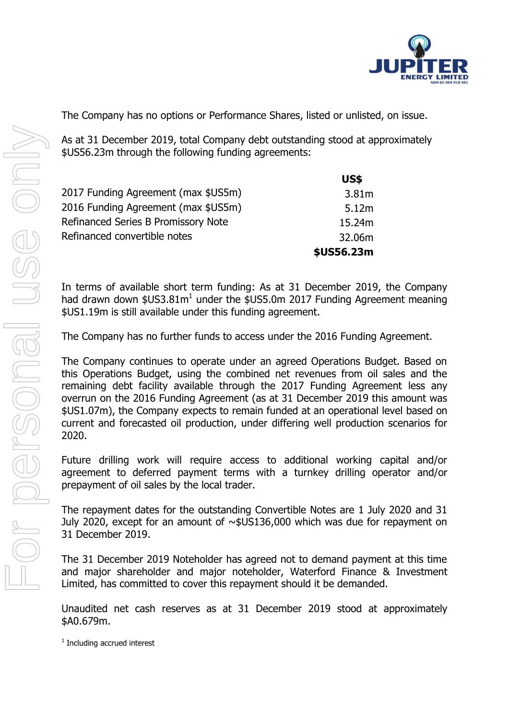

The Company has no options or Performance Shares, listed or unlisted, on issue.

As at 31 December 2019, total Company debt outstanding stood at approximately \$US56.23m through the following funding agreements:

|                                     | <b>US\$</b> |
|-------------------------------------|-------------|
| 2017 Funding Agreement (max \$US5m) | 3.81m       |
| 2016 Funding Agreement (max \$US5m) | 5.12m       |
| Refinanced Series B Promissory Note | 15.24m      |
| Refinanced convertible notes        | 32.06m      |
|                                     | \$US56.23m  |

In terms of available short term funding: As at 31 December 2019, the Company had drawn down  $$US3.81m<sup>1</sup>$  under the  $$US5.0m$  2017 Funding Agreement meaning \$US1.19m is still available under this funding agreement.

The Company has no further funds to access under the 2016 Funding Agreement.

The Company continues to operate under an agreed Operations Budget. Based on this Operations Budget, using the combined net revenues from oil sales and the remaining debt facility available through the 2017 Funding Agreement less any overrun on the 2016 Funding Agreement (as at 31 December 2019 this amount was \$US1.07m), the Company expects to remain funded at an operational level based on current and forecasted oil production, under differing well production scenarios for 2020.

Future drilling work will require access to additional working capital and/or agreement to deferred payment terms with a turnkey drilling operator and/or prepayment of oil sales by the local trader.

The repayment dates for the outstanding Convertible Notes are 1 July 2020 and 31 July 2020, except for an amount of ~\$US136,000 which was due for repayment on 31 December 2019.

The 31 December 2019 Noteholder has agreed not to demand payment at this time and major shareholder and major noteholder, Waterford Finance & Investment Limited, has committed to cover this repayment should it be demanded.

Unaudited net cash reserves as at 31 December 2019 stood at approximately \$A0.679m.

<sup>1</sup> Including accrued interest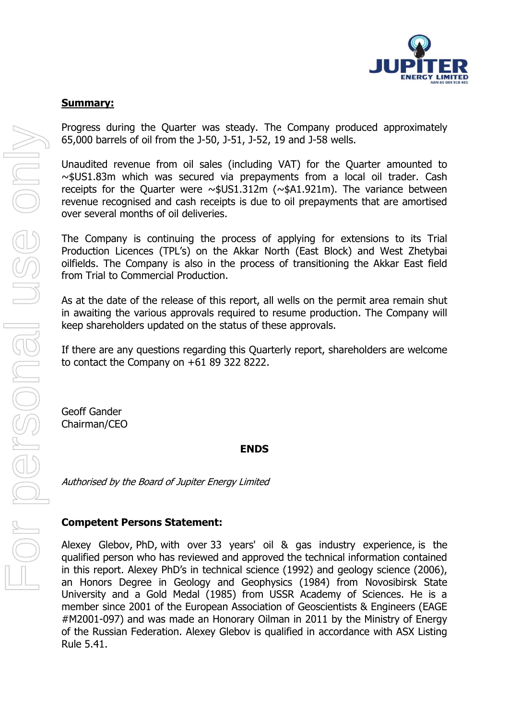

#### **Summary:**

Progress during the Quarter was steady. The Company produced approximately 65,000 barrels of oil from the J-50, J-51, J-52, 19 and J-58 wells.

Unaudited revenue from oil sales (including VAT) for the Quarter amounted to ~\$US1.83m which was secured via prepayments from a local oil trader. Cash receipts for the Quarter were ~\$US1.312m (~\$A1.921m). The variance between revenue recognised and cash receipts is due to oil prepayments that are amortised over several months of oil deliveries.

The Company is continuing the process of applying for extensions to its Trial Production Licences (TPL's) on the Akkar North (East Block) and West Zhetybai oilfields. The Company is also in the process of transitioning the Akkar East field from Trial to Commercial Production.

As at the date of the release of this report, all wells on the permit area remain shut in awaiting the various approvals required to resume production. The Company will keep shareholders updated on the status of these approvals.

If there are any questions regarding this Quarterly report, shareholders are welcome to contact the Company on +61 89 322 8222.

Geoff Gander Chairman/CEO

#### **ENDS**

Authorised by the Board of Jupiter Energy Limited

### **Competent Persons Statement:**

Alexey Glebov, PhD, with over 33 years' oil & gas industry experience, is the qualified person who has reviewed and approved the technical information contained in this report. Alexey PhD's in technical science (1992) and geology science (2006), an Honors Degree in Geology and Geophysics (1984) from Novosibirsk State University and a Gold Medal (1985) from USSR Academy of Sciences. He is a member since 2001 of the European Association of Geoscientists & Engineers (EAGE #M2001-097) and was made an Honorary Oilman in 2011 by the Ministry of Energy of the Russian Federation. Alexey Glebov is qualified in accordance with ASX Listing Rule 5.41.